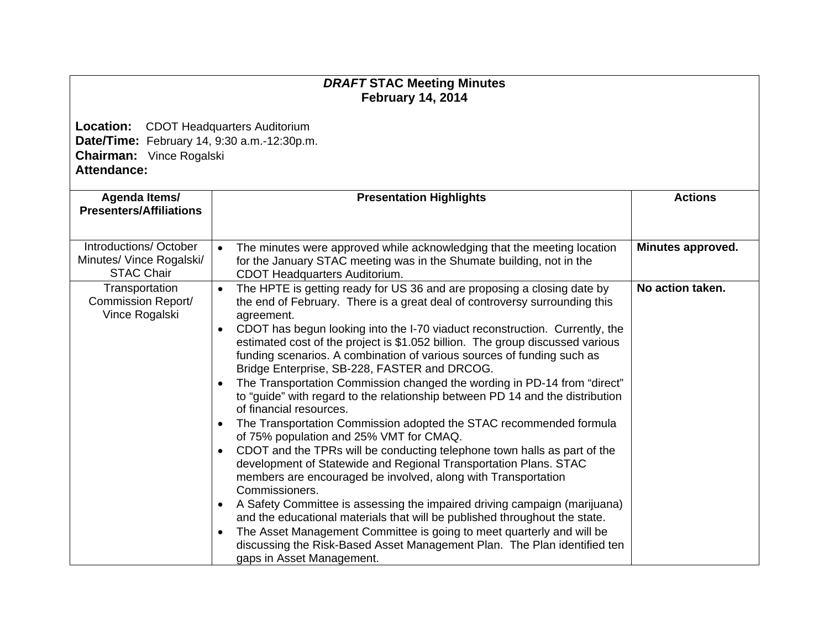## *DRAFT* **STAC Meeting Minutes February 14, 2014**

**Location:** CDOT Headquarters Auditorium **Date/Time:** February 14, 9:30 a.m.-12:30p.m. **Chairman:** Vince Rogalski **Attendance:** 

|                                                        | Agenda Items/<br><b>Presentation Highlights</b>                                                                                                                                                                                                                                                     |                   |  |  |
|--------------------------------------------------------|-----------------------------------------------------------------------------------------------------------------------------------------------------------------------------------------------------------------------------------------------------------------------------------------------------|-------------------|--|--|
| <b>Presenters/Affiliations</b>                         |                                                                                                                                                                                                                                                                                                     | <b>Actions</b>    |  |  |
|                                                        |                                                                                                                                                                                                                                                                                                     |                   |  |  |
| Introductions/October<br>Minutes/ Vince Rogalski/      | The minutes were approved while acknowledging that the meeting location<br>$\bullet$<br>for the January STAC meeting was in the Shumate building, not in the                                                                                                                                        | Minutes approved. |  |  |
| <b>STAC Chair</b>                                      | CDOT Headquarters Auditorium.                                                                                                                                                                                                                                                                       |                   |  |  |
| Transportation<br>Commission Report/<br>Vince Rogalski | The HPTE is getting ready for US 36 and are proposing a closing date by<br>$\bullet$<br>the end of February. There is a great deal of controversy surrounding this<br>agreement.                                                                                                                    | No action taken.  |  |  |
|                                                        | CDOT has begun looking into the I-70 viaduct reconstruction. Currently, the<br>$\bullet$<br>estimated cost of the project is \$1.052 billion. The group discussed various<br>funding scenarios. A combination of various sources of funding such as<br>Bridge Enterprise, SB-228, FASTER and DRCOG. |                   |  |  |
|                                                        | The Transportation Commission changed the wording in PD-14 from "direct"<br>$\bullet$<br>to "guide" with regard to the relationship between PD 14 and the distribution<br>of financial resources.                                                                                                   |                   |  |  |
|                                                        | The Transportation Commission adopted the STAC recommended formula<br>$\bullet$<br>of 75% population and 25% VMT for CMAQ.                                                                                                                                                                          |                   |  |  |
|                                                        | CDOT and the TPRs will be conducting telephone town halls as part of the<br>$\bullet$<br>development of Statewide and Regional Transportation Plans. STAC<br>members are encouraged be involved, along with Transportation<br>Commissioners.                                                        |                   |  |  |
|                                                        | A Safety Committee is assessing the impaired driving campaign (marijuana)<br>$\bullet$<br>and the educational materials that will be published throughout the state.<br>The Asset Management Committee is going to meet quarterly and will be<br>$\bullet$                                          |                   |  |  |
|                                                        | discussing the Risk-Based Asset Management Plan. The Plan identified ten<br>gaps in Asset Management.                                                                                                                                                                                               |                   |  |  |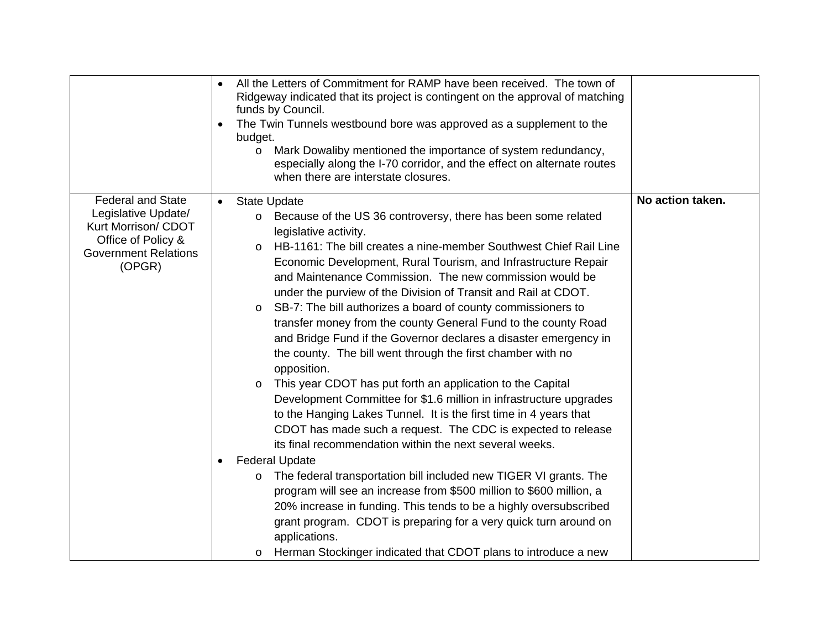|                                                                                                                                       | All the Letters of Commitment for RAMP have been received. The town of<br>$\bullet$<br>Ridgeway indicated that its project is contingent on the approval of matching<br>funds by Council.<br>The Twin Tunnels westbound bore was approved as a supplement to the<br>$\bullet$<br>budget.<br>Mark Dowaliby mentioned the importance of system redundancy,<br>$\circ$<br>especially along the I-70 corridor, and the effect on alternate routes<br>when there are interstate closures.                                                                                                                                                                                                                                                                                                                                                                                                                                                                                                                                                                                                                                                                                                                                                                                                                                                                                                                                                                                         |                  |
|---------------------------------------------------------------------------------------------------------------------------------------|------------------------------------------------------------------------------------------------------------------------------------------------------------------------------------------------------------------------------------------------------------------------------------------------------------------------------------------------------------------------------------------------------------------------------------------------------------------------------------------------------------------------------------------------------------------------------------------------------------------------------------------------------------------------------------------------------------------------------------------------------------------------------------------------------------------------------------------------------------------------------------------------------------------------------------------------------------------------------------------------------------------------------------------------------------------------------------------------------------------------------------------------------------------------------------------------------------------------------------------------------------------------------------------------------------------------------------------------------------------------------------------------------------------------------------------------------------------------------|------------------|
| <b>Federal and State</b><br>Legislative Update/<br>Kurt Morrison/ CDOT<br>Office of Policy &<br><b>Government Relations</b><br>(OPGR) | <b>State Update</b><br>Because of the US 36 controversy, there has been some related<br>$\circ$<br>legislative activity.<br>HB-1161: The bill creates a nine-member Southwest Chief Rail Line<br>$\circ$<br>Economic Development, Rural Tourism, and Infrastructure Repair<br>and Maintenance Commission. The new commission would be<br>under the purview of the Division of Transit and Rail at CDOT.<br>SB-7: The bill authorizes a board of county commissioners to<br>$\circ$<br>transfer money from the county General Fund to the county Road<br>and Bridge Fund if the Governor declares a disaster emergency in<br>the county. The bill went through the first chamber with no<br>opposition.<br>This year CDOT has put forth an application to the Capital<br>$\circ$<br>Development Committee for \$1.6 million in infrastructure upgrades<br>to the Hanging Lakes Tunnel. It is the first time in 4 years that<br>CDOT has made such a request. The CDC is expected to release<br>its final recommendation within the next several weeks.<br><b>Federal Update</b><br>The federal transportation bill included new TIGER VI grants. The<br>$\circ$<br>program will see an increase from \$500 million to \$600 million, a<br>20% increase in funding. This tends to be a highly oversubscribed<br>grant program. CDOT is preparing for a very quick turn around on<br>applications.<br>Herman Stockinger indicated that CDOT plans to introduce a new<br>$\circ$ | No action taken. |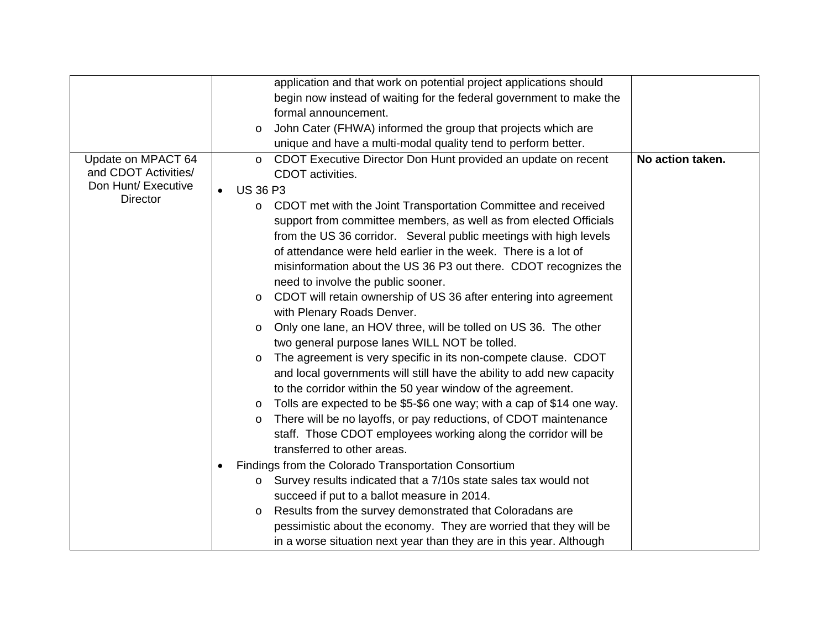|                                            |                              | application and that work on potential project applications should                                                                 |                  |
|--------------------------------------------|------------------------------|------------------------------------------------------------------------------------------------------------------------------------|------------------|
|                                            |                              | begin now instead of waiting for the federal government to make the                                                                |                  |
|                                            |                              | formal announcement.                                                                                                               |                  |
|                                            | $\circ$                      | John Cater (FHWA) informed the group that projects which are                                                                       |                  |
|                                            |                              | unique and have a multi-modal quality tend to perform better.                                                                      |                  |
| Update on MPACT 64<br>and CDOT Activities/ | $\circ$                      | CDOT Executive Director Don Hunt provided an update on recent<br>CDOT activities.                                                  | No action taken. |
| Don Hunt/ Executive                        | <b>US 36 P3</b><br>$\bullet$ |                                                                                                                                    |                  |
| <b>Director</b>                            | $\circ$                      | CDOT met with the Joint Transportation Committee and received<br>support from committee members, as well as from elected Officials |                  |
|                                            |                              | from the US 36 corridor. Several public meetings with high levels                                                                  |                  |
|                                            |                              | of attendance were held earlier in the week. There is a lot of                                                                     |                  |
|                                            |                              | misinformation about the US 36 P3 out there. CDOT recognizes the                                                                   |                  |
|                                            |                              | need to involve the public sooner.                                                                                                 |                  |
|                                            | $\circ$                      | CDOT will retain ownership of US 36 after entering into agreement                                                                  |                  |
|                                            |                              | with Plenary Roads Denver.                                                                                                         |                  |
|                                            | $\circ$                      | Only one lane, an HOV three, will be tolled on US 36. The other                                                                    |                  |
|                                            |                              | two general purpose lanes WILL NOT be tolled.                                                                                      |                  |
|                                            | $\circ$                      | The agreement is very specific in its non-compete clause. CDOT                                                                     |                  |
|                                            |                              | and local governments will still have the ability to add new capacity                                                              |                  |
|                                            |                              | to the corridor within the 50 year window of the agreement.                                                                        |                  |
|                                            | $\circ$                      | Tolls are expected to be \$5-\$6 one way; with a cap of \$14 one way.                                                              |                  |
|                                            | $\circ$                      | There will be no layoffs, or pay reductions, of CDOT maintenance                                                                   |                  |
|                                            |                              | staff. Those CDOT employees working along the corridor will be                                                                     |                  |
|                                            |                              | transferred to other areas.                                                                                                        |                  |
|                                            | $\bullet$                    | Findings from the Colorado Transportation Consortium                                                                               |                  |
|                                            | O                            | Survey results indicated that a 7/10s state sales tax would not                                                                    |                  |
|                                            |                              | succeed if put to a ballot measure in 2014.                                                                                        |                  |
|                                            | $\circ$                      | Results from the survey demonstrated that Coloradans are                                                                           |                  |
|                                            |                              | pessimistic about the economy. They are worried that they will be                                                                  |                  |
|                                            |                              | in a worse situation next year than they are in this year. Although                                                                |                  |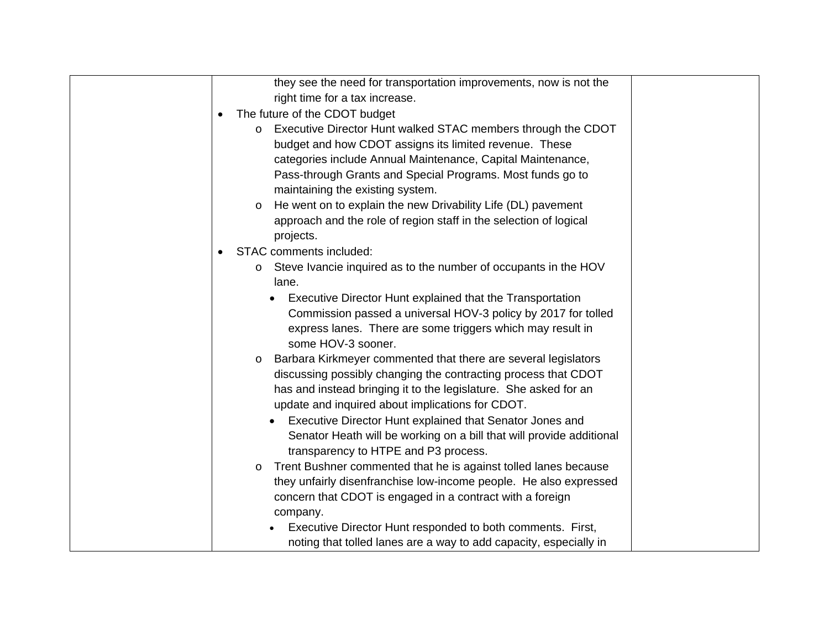| they see the need for transportation improvements, now is not the          |
|----------------------------------------------------------------------------|
| right time for a tax increase.                                             |
| The future of the CDOT budget<br>$\bullet$                                 |
| Executive Director Hunt walked STAC members through the CDOT               |
| budget and how CDOT assigns its limited revenue. These                     |
| categories include Annual Maintenance, Capital Maintenance,                |
| Pass-through Grants and Special Programs. Most funds go to                 |
| maintaining the existing system.                                           |
| He went on to explain the new Drivability Life (DL) pavement<br>O          |
| approach and the role of region staff in the selection of logical          |
| projects.                                                                  |
| STAC comments included:                                                    |
| Steve Ivancie inquired as to the number of occupants in the HOV<br>$\circ$ |
| lane.                                                                      |
| Executive Director Hunt explained that the Transportation                  |
| Commission passed a universal HOV-3 policy by 2017 for tolled              |
| express lanes. There are some triggers which may result in                 |
| some HOV-3 sooner.                                                         |
| Barbara Kirkmeyer commented that there are several legislators<br>O        |
| discussing possibly changing the contracting process that CDOT             |
| has and instead bringing it to the legislature. She asked for an           |
| update and inquired about implications for CDOT.                           |
| Executive Director Hunt explained that Senator Jones and                   |
| Senator Heath will be working on a bill that will provide additional       |
| transparency to HTPE and P3 process.                                       |
| Trent Bushner commented that he is against tolled lanes because<br>O       |
| they unfairly disenfranchise low-income people. He also expressed          |
| concern that CDOT is engaged in a contract with a foreign                  |
| company.                                                                   |
| Executive Director Hunt responded to both comments. First,                 |
| noting that tolled lanes are a way to add capacity, especially in          |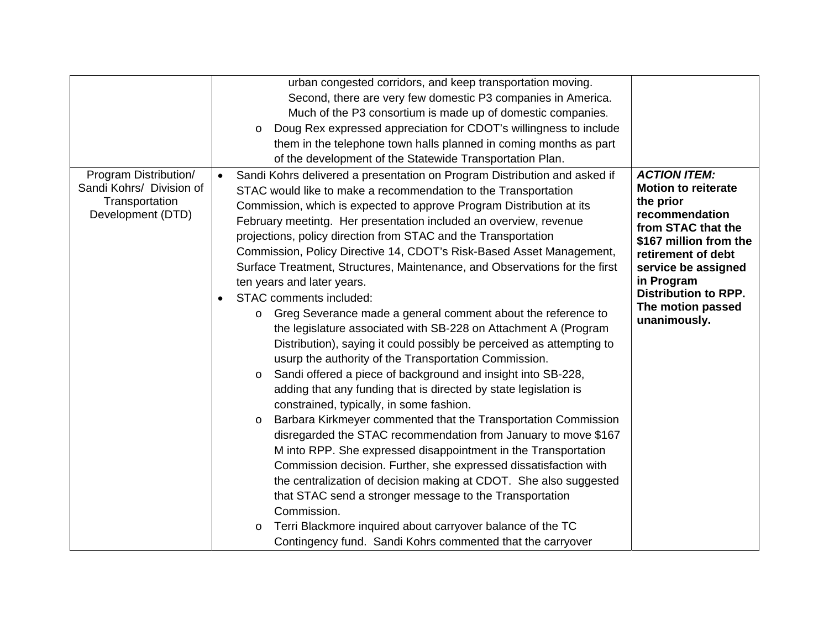|                                                                                          |                        | urban congested corridors, and keep transportation moving.                                                                                                                                                                                                                                                                                                                                                                                                                                                                                                                                                                                                                                                                                                                                                                                                                                                                                                                                                                                                                                                                                                                                                                                                                                                                                                                                                                                                                                                                                                        |                                                                                                                                                                                                                                                                 |
|------------------------------------------------------------------------------------------|------------------------|-------------------------------------------------------------------------------------------------------------------------------------------------------------------------------------------------------------------------------------------------------------------------------------------------------------------------------------------------------------------------------------------------------------------------------------------------------------------------------------------------------------------------------------------------------------------------------------------------------------------------------------------------------------------------------------------------------------------------------------------------------------------------------------------------------------------------------------------------------------------------------------------------------------------------------------------------------------------------------------------------------------------------------------------------------------------------------------------------------------------------------------------------------------------------------------------------------------------------------------------------------------------------------------------------------------------------------------------------------------------------------------------------------------------------------------------------------------------------------------------------------------------------------------------------------------------|-----------------------------------------------------------------------------------------------------------------------------------------------------------------------------------------------------------------------------------------------------------------|
|                                                                                          |                        | Second, there are very few domestic P3 companies in America.                                                                                                                                                                                                                                                                                                                                                                                                                                                                                                                                                                                                                                                                                                                                                                                                                                                                                                                                                                                                                                                                                                                                                                                                                                                                                                                                                                                                                                                                                                      |                                                                                                                                                                                                                                                                 |
|                                                                                          |                        | Much of the P3 consortium is made up of domestic companies.                                                                                                                                                                                                                                                                                                                                                                                                                                                                                                                                                                                                                                                                                                                                                                                                                                                                                                                                                                                                                                                                                                                                                                                                                                                                                                                                                                                                                                                                                                       |                                                                                                                                                                                                                                                                 |
|                                                                                          |                        | Doug Rex expressed appreciation for CDOT's willingness to include<br>$\circ$                                                                                                                                                                                                                                                                                                                                                                                                                                                                                                                                                                                                                                                                                                                                                                                                                                                                                                                                                                                                                                                                                                                                                                                                                                                                                                                                                                                                                                                                                      |                                                                                                                                                                                                                                                                 |
|                                                                                          |                        | them in the telephone town halls planned in coming months as part                                                                                                                                                                                                                                                                                                                                                                                                                                                                                                                                                                                                                                                                                                                                                                                                                                                                                                                                                                                                                                                                                                                                                                                                                                                                                                                                                                                                                                                                                                 |                                                                                                                                                                                                                                                                 |
|                                                                                          |                        | of the development of the Statewide Transportation Plan.                                                                                                                                                                                                                                                                                                                                                                                                                                                                                                                                                                                                                                                                                                                                                                                                                                                                                                                                                                                                                                                                                                                                                                                                                                                                                                                                                                                                                                                                                                          |                                                                                                                                                                                                                                                                 |
| Program Distribution/<br>Sandi Kohrs/ Division of<br>Transportation<br>Development (DTD) | $\bullet$<br>$\bullet$ | Sandi Kohrs delivered a presentation on Program Distribution and asked if<br>STAC would like to make a recommendation to the Transportation<br>Commission, which is expected to approve Program Distribution at its<br>February meetintg. Her presentation included an overview, revenue<br>projections, policy direction from STAC and the Transportation<br>Commission, Policy Directive 14, CDOT's Risk-Based Asset Management,<br>Surface Treatment, Structures, Maintenance, and Observations for the first<br>ten years and later years.<br>STAC comments included:<br>Greg Severance made a general comment about the reference to<br>$\circ$<br>the legislature associated with SB-228 on Attachment A (Program<br>Distribution), saying it could possibly be perceived as attempting to<br>usurp the authority of the Transportation Commission.<br>Sandi offered a piece of background and insight into SB-228,<br>$\circ$<br>adding that any funding that is directed by state legislation is<br>constrained, typically, in some fashion.<br>Barbara Kirkmeyer commented that the Transportation Commission<br>$\circ$<br>disregarded the STAC recommendation from January to move \$167<br>M into RPP. She expressed disappointment in the Transportation<br>Commission decision. Further, she expressed dissatisfaction with<br>the centralization of decision making at CDOT. She also suggested<br>that STAC send a stronger message to the Transportation<br>Commission.<br>Terri Blackmore inquired about carryover balance of the TC<br>$\circ$ | <b>ACTION ITEM:</b><br><b>Motion to reiterate</b><br>the prior<br>recommendation<br>from STAC that the<br>\$167 million from the<br>retirement of debt<br>service be assigned<br>in Program<br><b>Distribution to RPP.</b><br>The motion passed<br>unanimously. |
|                                                                                          |                        | Contingency fund. Sandi Kohrs commented that the carryover                                                                                                                                                                                                                                                                                                                                                                                                                                                                                                                                                                                                                                                                                                                                                                                                                                                                                                                                                                                                                                                                                                                                                                                                                                                                                                                                                                                                                                                                                                        |                                                                                                                                                                                                                                                                 |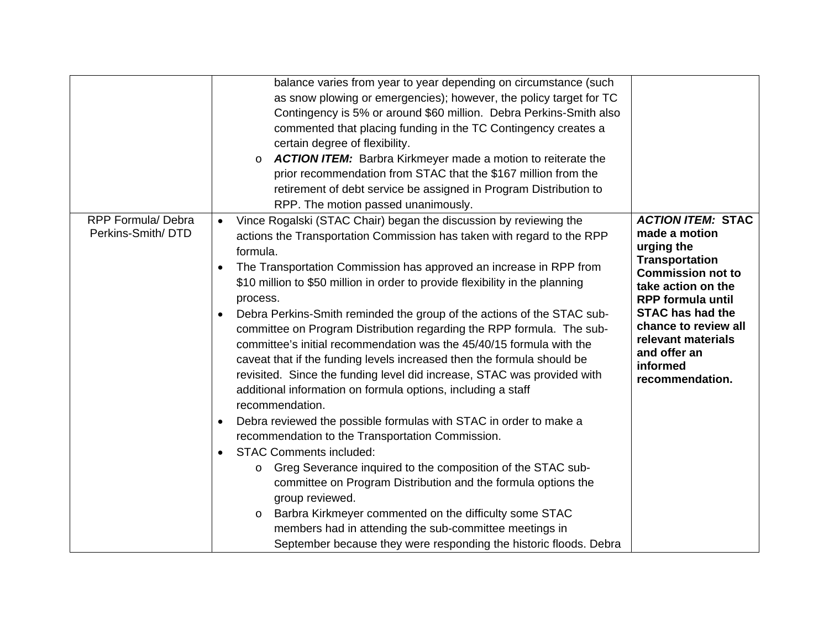|                                                | balance varies from year to year depending on circumstance (such<br>as snow plowing or emergencies); however, the policy target for TC<br>Contingency is 5% or around \$60 million. Debra Perkins-Smith also<br>commented that placing funding in the TC Contingency creates a<br>certain degree of flexibility.<br><b>ACTION ITEM:</b> Barbra Kirkmeyer made a motion to reiterate the<br>prior recommendation from STAC that the \$167 million from the<br>retirement of debt service be assigned in Program Distribution to<br>RPP. The motion passed unanimously.                                                                                                                                                                                                                                                                                                                                                                                                                                                                                                                                                                                                                                                                                                                                                                  |                                                                                                                                                                                                                                                                                        |
|------------------------------------------------|----------------------------------------------------------------------------------------------------------------------------------------------------------------------------------------------------------------------------------------------------------------------------------------------------------------------------------------------------------------------------------------------------------------------------------------------------------------------------------------------------------------------------------------------------------------------------------------------------------------------------------------------------------------------------------------------------------------------------------------------------------------------------------------------------------------------------------------------------------------------------------------------------------------------------------------------------------------------------------------------------------------------------------------------------------------------------------------------------------------------------------------------------------------------------------------------------------------------------------------------------------------------------------------------------------------------------------------|----------------------------------------------------------------------------------------------------------------------------------------------------------------------------------------------------------------------------------------------------------------------------------------|
| <b>RPP Formula/ Debra</b><br>Perkins-Smith/DTD | Vince Rogalski (STAC Chair) began the discussion by reviewing the<br>actions the Transportation Commission has taken with regard to the RPP<br>formula.<br>The Transportation Commission has approved an increase in RPP from<br>$\bullet$<br>\$10 million to \$50 million in order to provide flexibility in the planning<br>process.<br>Debra Perkins-Smith reminded the group of the actions of the STAC sub-<br>committee on Program Distribution regarding the RPP formula. The sub-<br>committee's initial recommendation was the 45/40/15 formula with the<br>caveat that if the funding levels increased then the formula should be<br>revisited. Since the funding level did increase, STAC was provided with<br>additional information on formula options, including a staff<br>recommendation.<br>Debra reviewed the possible formulas with STAC in order to make a<br>recommendation to the Transportation Commission.<br><b>STAC Comments included:</b><br>Greg Severance inquired to the composition of the STAC sub-<br>$\circ$<br>committee on Program Distribution and the formula options the<br>group reviewed.<br>Barbra Kirkmeyer commented on the difficulty some STAC<br>$\circ$<br>members had in attending the sub-committee meetings in<br>September because they were responding the historic floods. Debra | <b>ACTION ITEM: STAC</b><br>made a motion<br>urging the<br><b>Transportation</b><br><b>Commission not to</b><br>take action on the<br><b>RPP formula until</b><br><b>STAC has had the</b><br>chance to review all<br>relevant materials<br>and offer an<br>informed<br>recommendation. |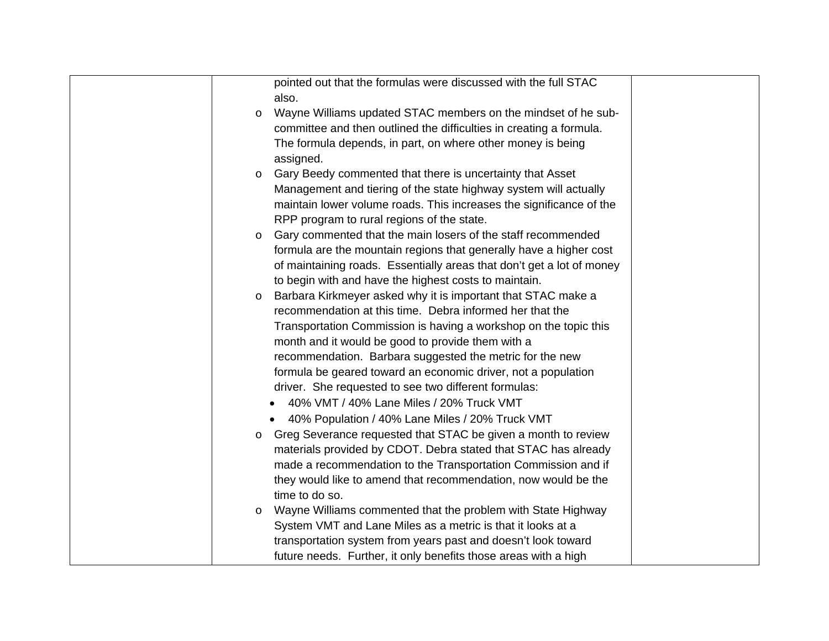| pointed out that the formulas were discussed with the full STAC          |  |
|--------------------------------------------------------------------------|--|
| also.                                                                    |  |
| Wayne Williams updated STAC members on the mindset of he sub-<br>$\circ$ |  |
| committee and then outlined the difficulties in creating a formula.      |  |
| The formula depends, in part, on where other money is being              |  |
| assigned.                                                                |  |
| Gary Beedy commented that there is uncertainty that Asset<br>O           |  |
| Management and tiering of the state highway system will actually         |  |
| maintain lower volume roads. This increases the significance of the      |  |
| RPP program to rural regions of the state.                               |  |
| Gary commented that the main losers of the staff recommended<br>$\circ$  |  |
| formula are the mountain regions that generally have a higher cost       |  |
| of maintaining roads. Essentially areas that don't get a lot of money    |  |
| to begin with and have the highest costs to maintain.                    |  |
| Barbara Kirkmeyer asked why it is important that STAC make a<br>$\circ$  |  |
| recommendation at this time. Debra informed her that the                 |  |
| Transportation Commission is having a workshop on the topic this         |  |
| month and it would be good to provide them with a                        |  |
| recommendation. Barbara suggested the metric for the new                 |  |
| formula be geared toward an economic driver, not a population            |  |
| driver. She requested to see two different formulas:                     |  |
| 40% VMT / 40% Lane Miles / 20% Truck VMT                                 |  |
| 40% Population / 40% Lane Miles / 20% Truck VMT                          |  |
| Greg Severance requested that STAC be given a month to review<br>$\circ$ |  |
| materials provided by CDOT. Debra stated that STAC has already           |  |
| made a recommendation to the Transportation Commission and if            |  |
| they would like to amend that recommendation, now would be the           |  |
| time to do so.                                                           |  |
| Wayne Williams commented that the problem with State Highway<br>$\circ$  |  |
| System VMT and Lane Miles as a metric is that it looks at a              |  |
| transportation system from years past and doesn't look toward            |  |
| future needs. Further, it only benefits those areas with a high          |  |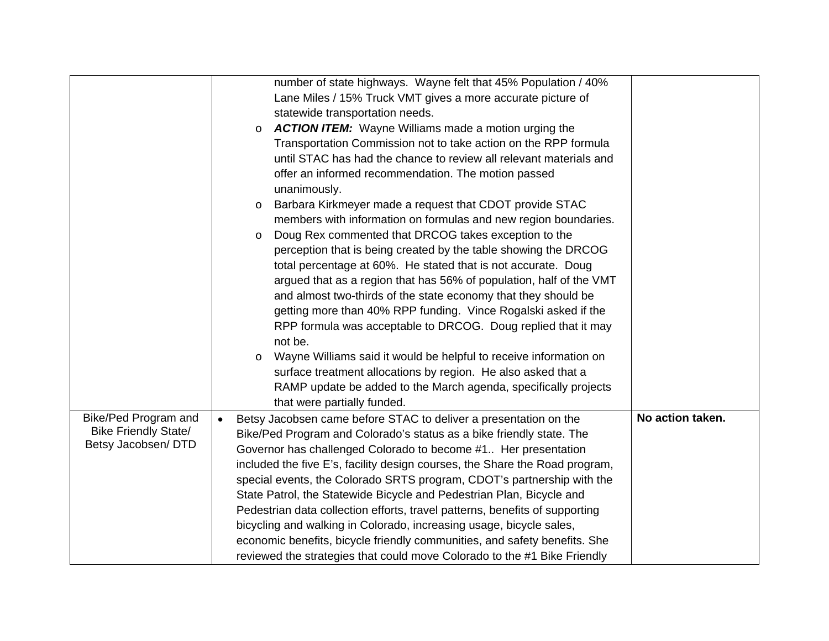|                                                    |           | number of state highways. Wayne felt that 45% Population / 40%              |                  |
|----------------------------------------------------|-----------|-----------------------------------------------------------------------------|------------------|
|                                                    |           | Lane Miles / 15% Truck VMT gives a more accurate picture of                 |                  |
|                                                    |           | statewide transportation needs.                                             |                  |
|                                                    | $\circ$   | <b>ACTION ITEM:</b> Wayne Williams made a motion urging the                 |                  |
|                                                    |           | Transportation Commission not to take action on the RPP formula             |                  |
|                                                    |           | until STAC has had the chance to review all relevant materials and          |                  |
|                                                    |           | offer an informed recommendation. The motion passed                         |                  |
|                                                    |           | unanimously.                                                                |                  |
|                                                    | $\circ$   | Barbara Kirkmeyer made a request that CDOT provide STAC                     |                  |
|                                                    |           | members with information on formulas and new region boundaries.             |                  |
|                                                    | $\circ$   | Doug Rex commented that DRCOG takes exception to the                        |                  |
|                                                    |           | perception that is being created by the table showing the DRCOG             |                  |
|                                                    |           | total percentage at 60%. He stated that is not accurate. Doug               |                  |
|                                                    |           | argued that as a region that has 56% of population, half of the VMT         |                  |
|                                                    |           | and almost two-thirds of the state economy that they should be              |                  |
|                                                    |           | getting more than 40% RPP funding. Vince Rogalski asked if the              |                  |
|                                                    |           | RPP formula was acceptable to DRCOG. Doug replied that it may               |                  |
|                                                    |           | not be.                                                                     |                  |
|                                                    | $\circ$   | Wayne Williams said it would be helpful to receive information on           |                  |
|                                                    |           | surface treatment allocations by region. He also asked that a               |                  |
|                                                    |           | RAMP update be added to the March agenda, specifically projects             |                  |
|                                                    |           | that were partially funded.                                                 |                  |
| Bike/Ped Program and                               | $\bullet$ | Betsy Jacobsen came before STAC to deliver a presentation on the            | No action taken. |
| <b>Bike Friendly State/</b><br>Betsy Jacobsen/ DTD |           | Bike/Ped Program and Colorado's status as a bike friendly state. The        |                  |
|                                                    |           | Governor has challenged Colorado to become #1 Her presentation              |                  |
|                                                    |           | included the five E's, facility design courses, the Share the Road program, |                  |
|                                                    |           | special events, the Colorado SRTS program, CDOT's partnership with the      |                  |
|                                                    |           | State Patrol, the Statewide Bicycle and Pedestrian Plan, Bicycle and        |                  |
|                                                    |           | Pedestrian data collection efforts, travel patterns, benefits of supporting |                  |
|                                                    |           | bicycling and walking in Colorado, increasing usage, bicycle sales,         |                  |
|                                                    |           | economic benefits, bicycle friendly communities, and safety benefits. She   |                  |
|                                                    |           | reviewed the strategies that could move Colorado to the #1 Bike Friendly    |                  |